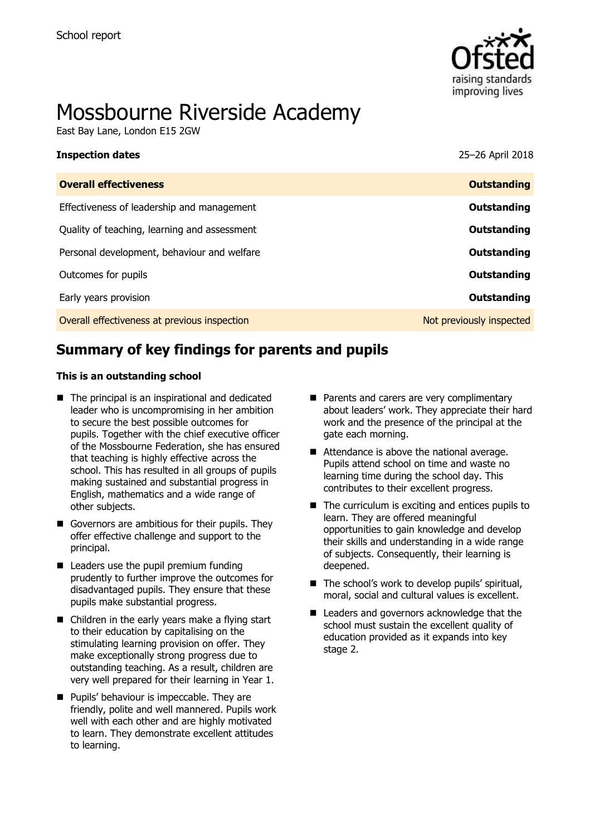

# Mossbourne Riverside Academy

East Bay Lane, London E15 2GW

| <b>Inspection dates</b>                      | 25-26 April 2018         |
|----------------------------------------------|--------------------------|
| <b>Overall effectiveness</b>                 | <b>Outstanding</b>       |
| Effectiveness of leadership and management   | Outstanding              |
| Quality of teaching, learning and assessment | <b>Outstanding</b>       |
| Personal development, behaviour and welfare  | Outstanding              |
| Outcomes for pupils                          | Outstanding              |
| Early years provision                        | Outstanding              |
| Overall effectiveness at previous inspection | Not previously inspected |
|                                              |                          |

# **Summary of key findings for parents and pupils**

#### **This is an outstanding school**

- The principal is an inspirational and dedicated leader who is uncompromising in her ambition to secure the best possible outcomes for pupils. Together with the chief executive officer of the Mossbourne Federation, she has ensured that teaching is highly effective across the school. This has resulted in all groups of pupils making sustained and substantial progress in English, mathematics and a wide range of other subjects.
- Governors are ambitious for their pupils. They offer effective challenge and support to the principal.
- $\blacksquare$  Leaders use the pupil premium funding prudently to further improve the outcomes for disadvantaged pupils. They ensure that these pupils make substantial progress.
- Children in the early years make a flying start to their education by capitalising on the stimulating learning provision on offer. They make exceptionally strong progress due to outstanding teaching. As a result, children are very well prepared for their learning in Year 1.
- **Pupils' behaviour is impeccable. They are** friendly, polite and well mannered. Pupils work well with each other and are highly motivated to learn. They demonstrate excellent attitudes to learning.
- Parents and carers are very complimentary about leaders' work. They appreciate their hard work and the presence of the principal at the gate each morning.
- Attendance is above the national average. Pupils attend school on time and waste no learning time during the school day. This contributes to their excellent progress.
- $\blacksquare$  The curriculum is exciting and entices pupils to learn. They are offered meaningful opportunities to gain knowledge and develop their skills and understanding in a wide range of subjects. Consequently, their learning is deepened.
- The school's work to develop pupils' spiritual, moral, social and cultural values is excellent.
- Leaders and governors acknowledge that the school must sustain the excellent quality of education provided as it expands into key stage 2.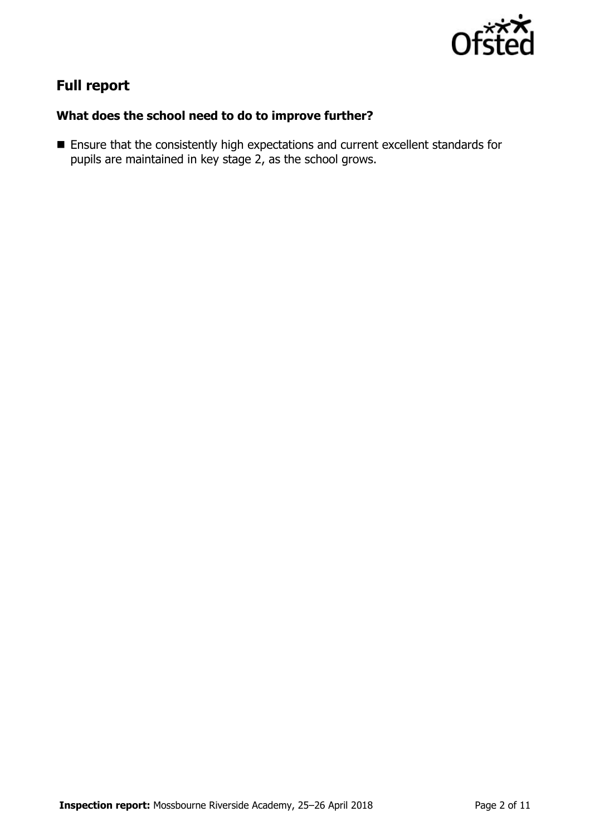

# **Full report**

### **What does the school need to do to improve further?**

 Ensure that the consistently high expectations and current excellent standards for pupils are maintained in key stage 2, as the school grows.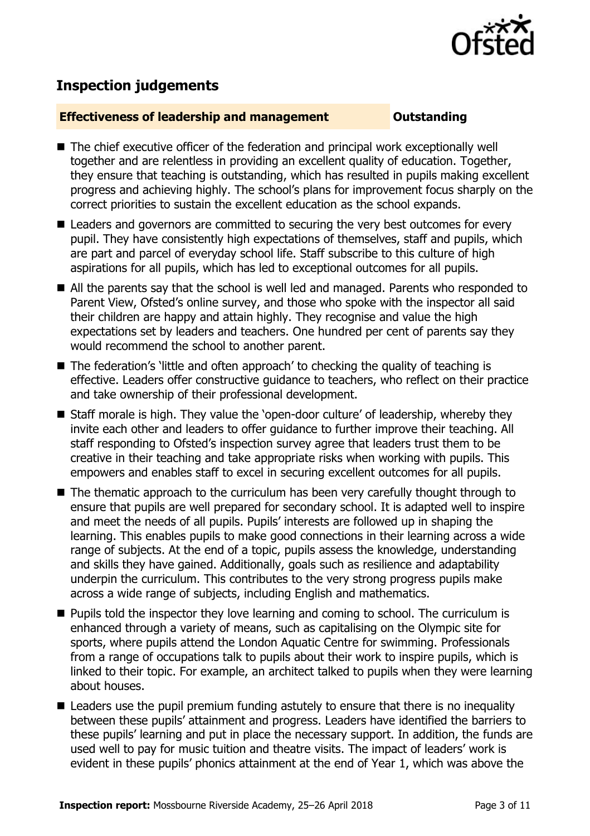

## **Inspection judgements**

#### **Effectiveness of leadership and management Constanding**

- The chief executive officer of the federation and principal work exceptionally well together and are relentless in providing an excellent quality of education. Together, they ensure that teaching is outstanding, which has resulted in pupils making excellent progress and achieving highly. The school's plans for improvement focus sharply on the correct priorities to sustain the excellent education as the school expands.
- Leaders and governors are committed to securing the very best outcomes for every pupil. They have consistently high expectations of themselves, staff and pupils, which are part and parcel of everyday school life. Staff subscribe to this culture of high aspirations for all pupils, which has led to exceptional outcomes for all pupils.
- All the parents say that the school is well led and managed. Parents who responded to Parent View, Ofsted's online survey, and those who spoke with the inspector all said their children are happy and attain highly. They recognise and value the high expectations set by leaders and teachers. One hundred per cent of parents say they would recommend the school to another parent.
- The federation's little and often approach' to checking the quality of teaching is effective. Leaders offer constructive guidance to teachers, who reflect on their practice and take ownership of their professional development.
- Staff morale is high. They value the 'open-door culture' of leadership, whereby they invite each other and leaders to offer guidance to further improve their teaching. All staff responding to Ofsted's inspection survey agree that leaders trust them to be creative in their teaching and take appropriate risks when working with pupils. This empowers and enables staff to excel in securing excellent outcomes for all pupils.
- The thematic approach to the curriculum has been very carefully thought through to ensure that pupils are well prepared for secondary school. It is adapted well to inspire and meet the needs of all pupils. Pupils' interests are followed up in shaping the learning. This enables pupils to make good connections in their learning across a wide range of subjects. At the end of a topic, pupils assess the knowledge, understanding and skills they have gained. Additionally, goals such as resilience and adaptability underpin the curriculum. This contributes to the very strong progress pupils make across a wide range of subjects, including English and mathematics.
- **Pupils told the inspector they love learning and coming to school. The curriculum is** enhanced through a variety of means, such as capitalising on the Olympic site for sports, where pupils attend the London Aquatic Centre for swimming. Professionals from a range of occupations talk to pupils about their work to inspire pupils, which is linked to their topic. For example, an architect talked to pupils when they were learning about houses.
- Leaders use the pupil premium funding astutely to ensure that there is no inequality between these pupils' attainment and progress. Leaders have identified the barriers to these pupils' learning and put in place the necessary support. In addition, the funds are used well to pay for music tuition and theatre visits. The impact of leaders' work is evident in these pupils' phonics attainment at the end of Year 1, which was above the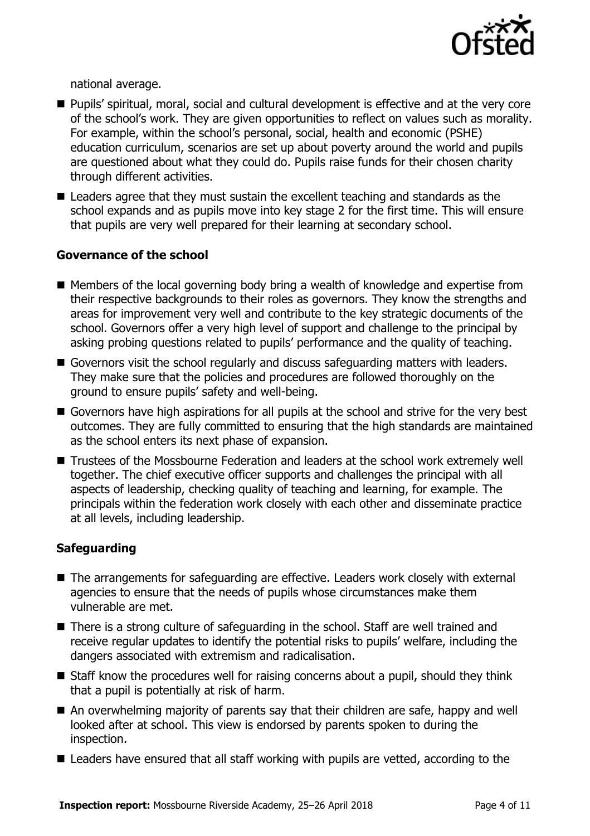

national average.

- Pupils' spiritual, moral, social and cultural development is effective and at the very core of the school's work. They are given opportunities to reflect on values such as morality. For example, within the school's personal, social, health and economic (PSHE) education curriculum, scenarios are set up about poverty around the world and pupils are questioned about what they could do. Pupils raise funds for their chosen charity through different activities.
- Leaders agree that they must sustain the excellent teaching and standards as the school expands and as pupils move into key stage 2 for the first time. This will ensure that pupils are very well prepared for their learning at secondary school.

#### **Governance of the school**

- Members of the local governing body bring a wealth of knowledge and expertise from their respective backgrounds to their roles as governors. They know the strengths and areas for improvement very well and contribute to the key strategic documents of the school. Governors offer a very high level of support and challenge to the principal by asking probing questions related to pupils' performance and the quality of teaching.
- Governors visit the school regularly and discuss safeguarding matters with leaders. They make sure that the policies and procedures are followed thoroughly on the ground to ensure pupils' safety and well-being.
- Governors have high aspirations for all pupils at the school and strive for the very best outcomes. They are fully committed to ensuring that the high standards are maintained as the school enters its next phase of expansion.
- Trustees of the Mossbourne Federation and leaders at the school work extremely well together. The chief executive officer supports and challenges the principal with all aspects of leadership, checking quality of teaching and learning, for example. The principals within the federation work closely with each other and disseminate practice at all levels, including leadership.

### **Safeguarding**

- The arrangements for safeguarding are effective. Leaders work closely with external agencies to ensure that the needs of pupils whose circumstances make them vulnerable are met.
- There is a strong culture of safeguarding in the school. Staff are well trained and receive regular updates to identify the potential risks to pupils' welfare, including the dangers associated with extremism and radicalisation.
- $\blacksquare$  Staff know the procedures well for raising concerns about a pupil, should they think that a pupil is potentially at risk of harm.
- An overwhelming majority of parents say that their children are safe, happy and well looked after at school. This view is endorsed by parents spoken to during the inspection.
- Leaders have ensured that all staff working with pupils are vetted, according to the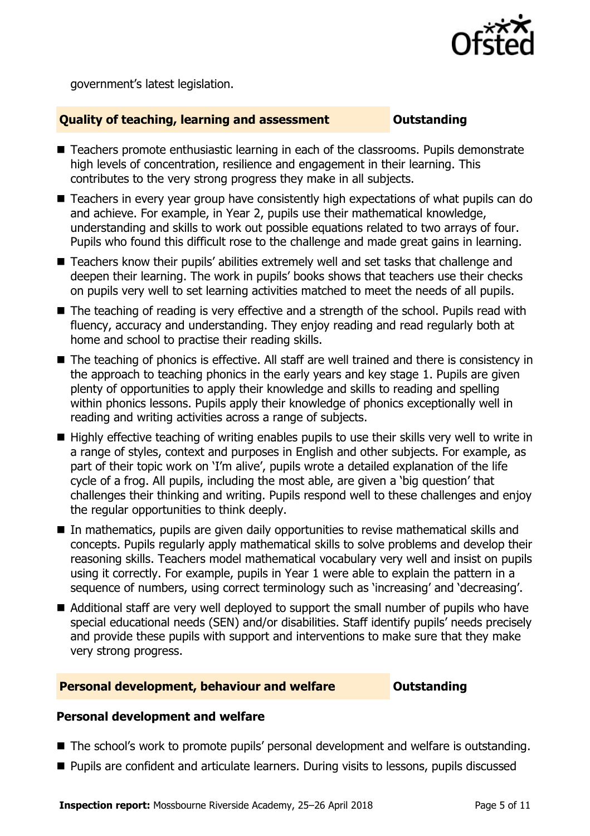

government's latest legislation.

#### **Quality of teaching, learning and assessment Outstanding**

- Teachers promote enthusiastic learning in each of the classrooms. Pupils demonstrate high levels of concentration, resilience and engagement in their learning. This contributes to the very strong progress they make in all subjects.
- Teachers in every year group have consistently high expectations of what pupils can do and achieve. For example, in Year 2, pupils use their mathematical knowledge, understanding and skills to work out possible equations related to two arrays of four. Pupils who found this difficult rose to the challenge and made great gains in learning.
- Teachers know their pupils' abilities extremely well and set tasks that challenge and deepen their learning. The work in pupils' books shows that teachers use their checks on pupils very well to set learning activities matched to meet the needs of all pupils.
- The teaching of reading is very effective and a strength of the school. Pupils read with fluency, accuracy and understanding. They enjoy reading and read regularly both at home and school to practise their reading skills.
- The teaching of phonics is effective. All staff are well trained and there is consistency in the approach to teaching phonics in the early years and key stage 1. Pupils are given plenty of opportunities to apply their knowledge and skills to reading and spelling within phonics lessons. Pupils apply their knowledge of phonics exceptionally well in reading and writing activities across a range of subjects.
- $\blacksquare$  Highly effective teaching of writing enables pupils to use their skills very well to write in a range of styles, context and purposes in English and other subjects. For example, as part of their topic work on 'I'm alive', pupils wrote a detailed explanation of the life cycle of a frog. All pupils, including the most able, are given a 'big question' that challenges their thinking and writing. Pupils respond well to these challenges and enjoy the regular opportunities to think deeply.
- In mathematics, pupils are given daily opportunities to revise mathematical skills and concepts. Pupils regularly apply mathematical skills to solve problems and develop their reasoning skills. Teachers model mathematical vocabulary very well and insist on pupils using it correctly. For example, pupils in Year 1 were able to explain the pattern in a sequence of numbers, using correct terminology such as 'increasing' and 'decreasing'.
- Additional staff are very well deployed to support the small number of pupils who have special educational needs (SEN) and/or disabilities. Staff identify pupils' needs precisely and provide these pupils with support and interventions to make sure that they make very strong progress.

#### **Personal development, behaviour and welfare <b>COUTS** Outstanding

### **Personal development and welfare**

- The school's work to promote pupils' personal development and welfare is outstanding.
- Pupils are confident and articulate learners. During visits to lessons, pupils discussed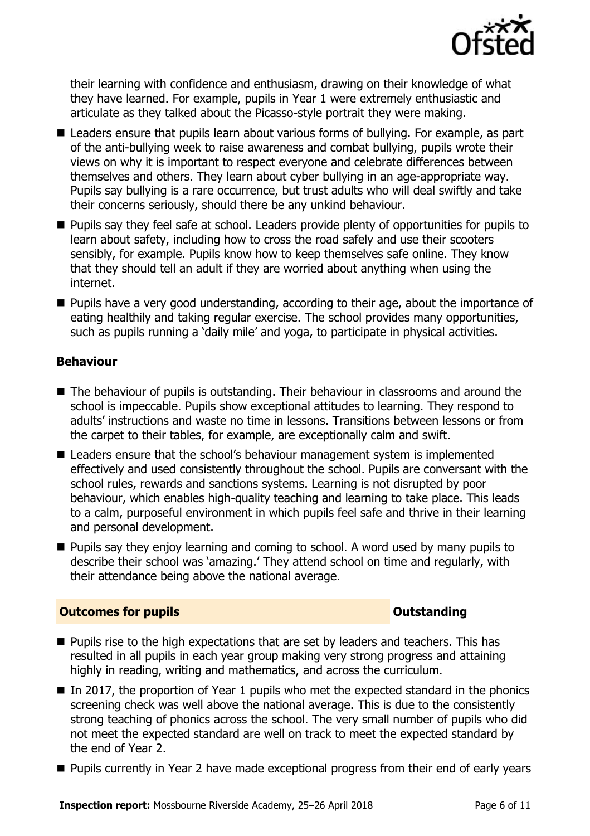

their learning with confidence and enthusiasm, drawing on their knowledge of what they have learned. For example, pupils in Year 1 were extremely enthusiastic and articulate as they talked about the Picasso-style portrait they were making.

- Leaders ensure that pupils learn about various forms of bullying. For example, as part of the anti-bullying week to raise awareness and combat bullying, pupils wrote their views on why it is important to respect everyone and celebrate differences between themselves and others. They learn about cyber bullying in an age-appropriate way. Pupils say bullying is a rare occurrence, but trust adults who will deal swiftly and take their concerns seriously, should there be any unkind behaviour.
- **Pupils say they feel safe at school. Leaders provide plenty of opportunities for pupils to** learn about safety, including how to cross the road safely and use their scooters sensibly, for example. Pupils know how to keep themselves safe online. They know that they should tell an adult if they are worried about anything when using the internet.
- **Pupils have a very good understanding, according to their age, about the importance of** eating healthily and taking regular exercise. The school provides many opportunities, such as pupils running a 'daily mile' and yoga, to participate in physical activities.

### **Behaviour**

- The behaviour of pupils is outstanding. Their behaviour in classrooms and around the school is impeccable. Pupils show exceptional attitudes to learning. They respond to adults' instructions and waste no time in lessons. Transitions between lessons or from the carpet to their tables, for example, are exceptionally calm and swift.
- Leaders ensure that the school's behaviour management system is implemented effectively and used consistently throughout the school. Pupils are conversant with the school rules, rewards and sanctions systems. Learning is not disrupted by poor behaviour, which enables high-quality teaching and learning to take place. This leads to a calm, purposeful environment in which pupils feel safe and thrive in their learning and personal development.
- **Pupils say they enjoy learning and coming to school. A word used by many pupils to** describe their school was 'amazing.' They attend school on time and regularly, with their attendance being above the national average.

### **Outcomes for pupils Outstanding**

- **Pupils rise to the high expectations that are set by leaders and teachers. This has** resulted in all pupils in each year group making very strong progress and attaining highly in reading, writing and mathematics, and across the curriculum.
- In 2017, the proportion of Year 1 pupils who met the expected standard in the phonics screening check was well above the national average. This is due to the consistently strong teaching of phonics across the school. The very small number of pupils who did not meet the expected standard are well on track to meet the expected standard by the end of Year 2.
- **Pupils currently in Year 2 have made exceptional progress from their end of early years**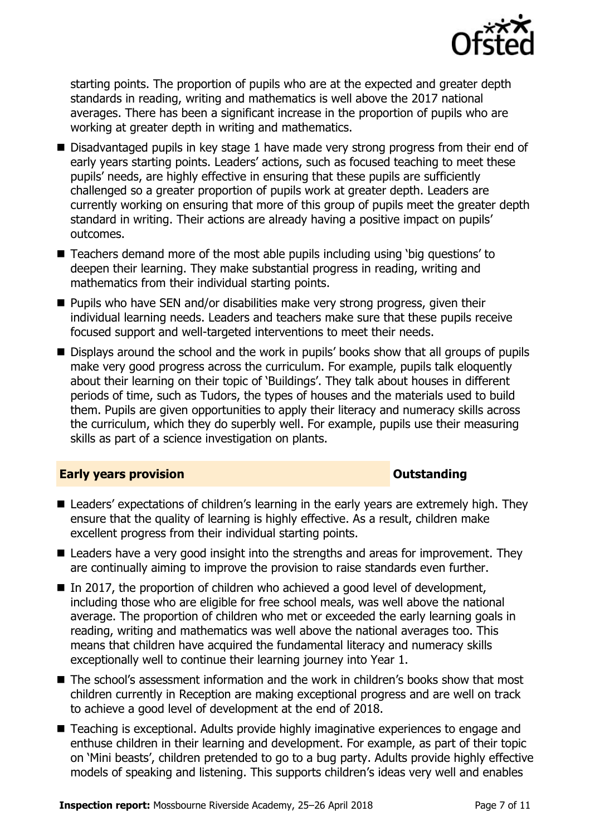

starting points. The proportion of pupils who are at the expected and greater depth standards in reading, writing and mathematics is well above the 2017 national averages. There has been a significant increase in the proportion of pupils who are working at greater depth in writing and mathematics.

- Disadvantaged pupils in key stage 1 have made very strong progress from their end of early years starting points. Leaders' actions, such as focused teaching to meet these pupils' needs, are highly effective in ensuring that these pupils are sufficiently challenged so a greater proportion of pupils work at greater depth. Leaders are currently working on ensuring that more of this group of pupils meet the greater depth standard in writing. Their actions are already having a positive impact on pupils' outcomes.
- Teachers demand more of the most able pupils including using 'big questions' to deepen their learning. They make substantial progress in reading, writing and mathematics from their individual starting points.
- $\blacksquare$  Pupils who have SEN and/or disabilities make very strong progress, given their individual learning needs. Leaders and teachers make sure that these pupils receive focused support and well-targeted interventions to meet their needs.
- Displays around the school and the work in pupils' books show that all groups of pupils make very good progress across the curriculum. For example, pupils talk eloquently about their learning on their topic of 'Buildings'. They talk about houses in different periods of time, such as Tudors, the types of houses and the materials used to build them. Pupils are given opportunities to apply their literacy and numeracy skills across the curriculum, which they do superbly well. For example, pupils use their measuring skills as part of a science investigation on plants.

#### **Early years provision CONSTANDING TO A RESEARCH CONSTANDING TO A RESEARCH CONSTANDING TO A RESEARCH CONSTANDING TO A RESEARCH CONSTANDING TO A RESEARCH CONSTANDING TO A RESEARCH CONSTANDING TO A RESEARCH CONSTANDING TO**

- Leaders' expectations of children's learning in the early years are extremely high. They ensure that the quality of learning is highly effective. As a result, children make excellent progress from their individual starting points.
- Leaders have a very good insight into the strengths and areas for improvement. They are continually aiming to improve the provision to raise standards even further.
- $\blacksquare$  In 2017, the proportion of children who achieved a good level of development, including those who are eligible for free school meals, was well above the national average. The proportion of children who met or exceeded the early learning goals in reading, writing and mathematics was well above the national averages too. This means that children have acquired the fundamental literacy and numeracy skills exceptionally well to continue their learning journey into Year 1.
- The school's assessment information and the work in children's books show that most children currently in Reception are making exceptional progress and are well on track to achieve a good level of development at the end of 2018.
- Teaching is exceptional. Adults provide highly imaginative experiences to engage and enthuse children in their learning and development. For example, as part of their topic on 'Mini beasts', children pretended to go to a bug party. Adults provide highly effective models of speaking and listening. This supports children's ideas very well and enables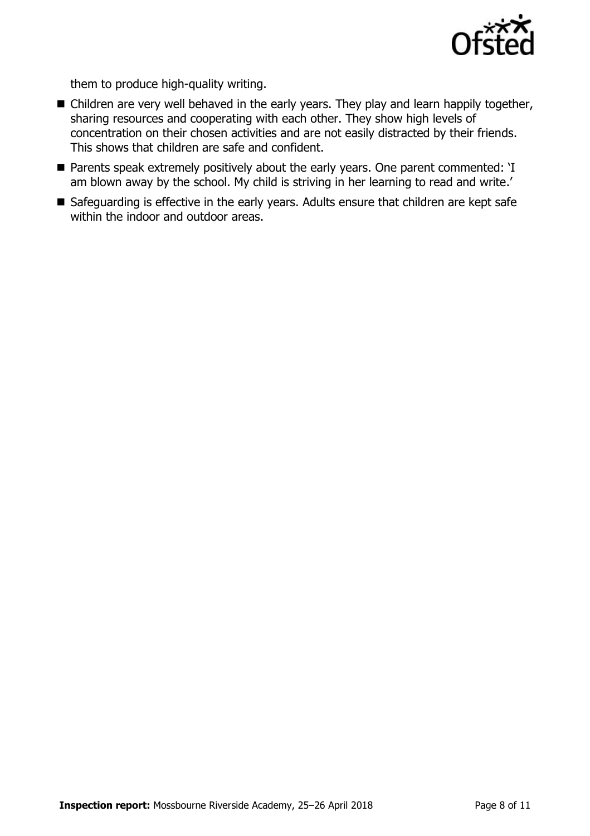

them to produce high-quality writing.

- Children are very well behaved in the early years. They play and learn happily together, sharing resources and cooperating with each other. They show high levels of concentration on their chosen activities and are not easily distracted by their friends. This shows that children are safe and confident.
- Parents speak extremely positively about the early years. One parent commented: 'I am blown away by the school. My child is striving in her learning to read and write.'
- Safeguarding is effective in the early years. Adults ensure that children are kept safe within the indoor and outdoor areas.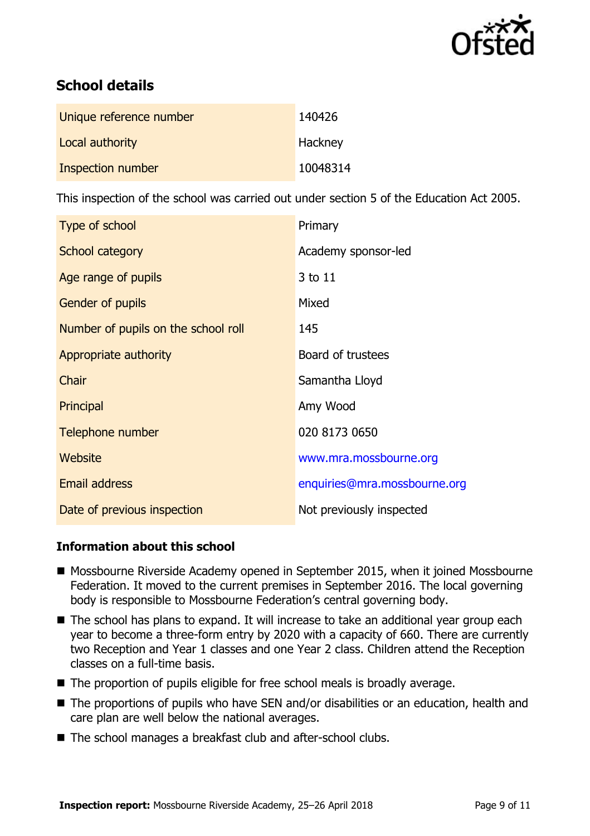

# **School details**

| Unique reference number | 140426   |
|-------------------------|----------|
| Local authority         | Hackney  |
| Inspection number       | 10048314 |

This inspection of the school was carried out under section 5 of the Education Act 2005.

| Type of school                      | Primary                      |
|-------------------------------------|------------------------------|
| School category                     | Academy sponsor-led          |
| Age range of pupils                 | 3 to 11                      |
| <b>Gender of pupils</b>             | Mixed                        |
| Number of pupils on the school roll | 145                          |
| Appropriate authority               | Board of trustees            |
| Chair                               | Samantha Lloyd               |
| Principal                           | Amy Wood                     |
| Telephone number                    | 020 8173 0650                |
| Website                             | www.mra.mossbourne.org       |
| Email address                       | enquiries@mra.mossbourne.org |
| Date of previous inspection         | Not previously inspected     |

### **Information about this school**

- Mossbourne Riverside Academy opened in September 2015, when it joined Mossbourne Federation. It moved to the current premises in September 2016. The local governing body is responsible to Mossbourne Federation's central governing body.
- The school has plans to expand. It will increase to take an additional year group each year to become a three-form entry by 2020 with a capacity of 660. There are currently two Reception and Year 1 classes and one Year 2 class. Children attend the Reception classes on a full-time basis.
- The proportion of pupils eligible for free school meals is broadly average.
- The proportions of pupils who have SEN and/or disabilities or an education, health and care plan are well below the national averages.
- The school manages a breakfast club and after-school clubs.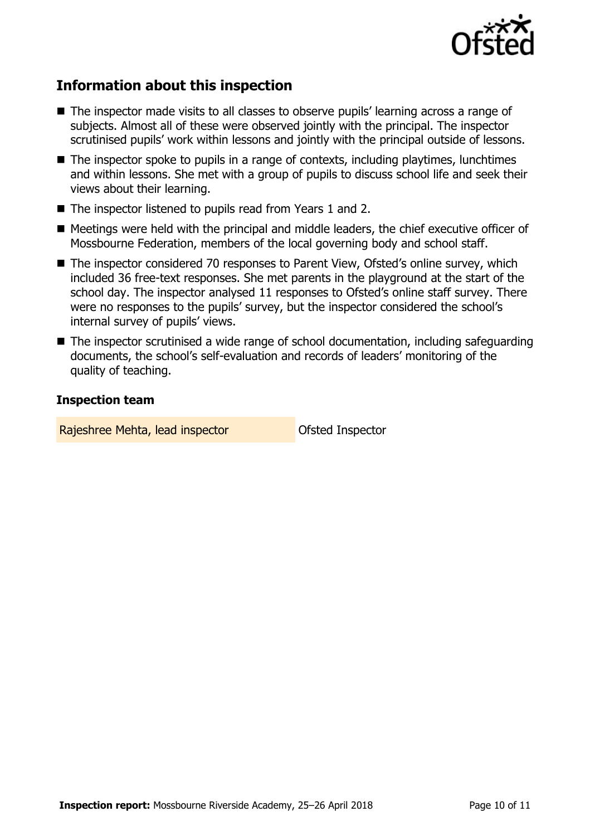

# **Information about this inspection**

- The inspector made visits to all classes to observe pupils' learning across a range of subjects. Almost all of these were observed jointly with the principal. The inspector scrutinised pupils' work within lessons and jointly with the principal outside of lessons.
- The inspector spoke to pupils in a range of contexts, including playtimes, lunchtimes and within lessons. She met with a group of pupils to discuss school life and seek their views about their learning.
- The inspector listened to pupils read from Years 1 and 2.
- Meetings were held with the principal and middle leaders, the chief executive officer of Mossbourne Federation, members of the local governing body and school staff.
- The inspector considered 70 responses to Parent View, Ofsted's online survey, which included 36 free-text responses. She met parents in the playground at the start of the school day. The inspector analysed 11 responses to Ofsted's online staff survey. There were no responses to the pupils' survey, but the inspector considered the school's internal survey of pupils' views.
- The inspector scrutinised a wide range of school documentation, including safeguarding documents, the school's self-evaluation and records of leaders' monitoring of the quality of teaching.

#### **Inspection team**

Rajeshree Mehta, lead inspector **Calculates** Ofsted Inspector